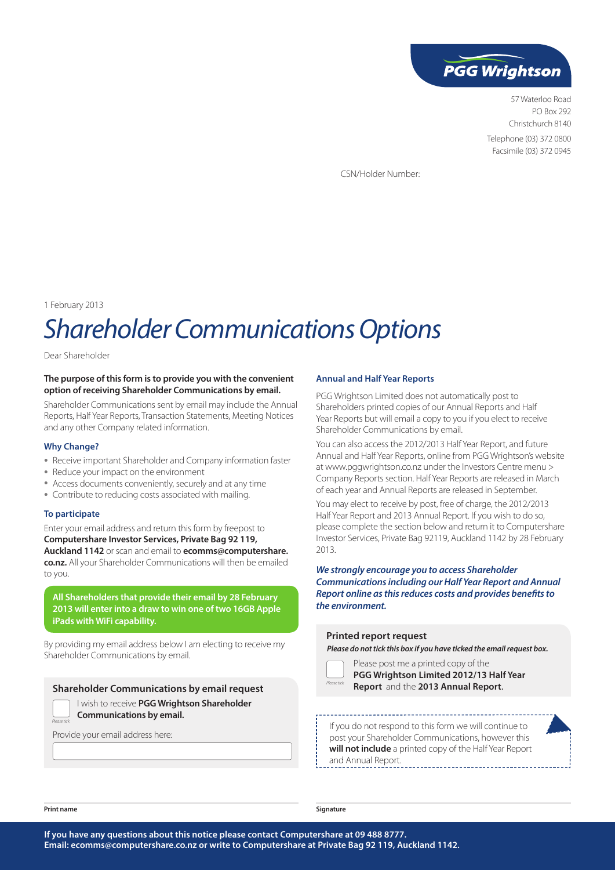

57 Waterloo Road PO Box 292 Christchurch 8140 Telephone (03) 372 0800 Facsimile (03) 372 0945

CSN/Holder Number:

1 February 2013

# *Shareholder Communications Options*

Dear Shareholder

# **The purpose of this form is to provide you with the convenient option of receiving Shareholder Communications by email.**

Shareholder Communications sent by email may include the Annual Reports, Half Year Reports, Transaction Statements, Meeting Notices and any other Company related information.

### **Why Change?**

- Receive important Shareholder and Company information faster
- Reduce your impact on the environment
- Access documents conveniently, securely and at any time
- Contribute to reducing costs associated with mailing.

# **To participate**

Enter your email address and return this form by freepost to **Computershare Investor Services, Private Bag 92 119, Auckland 1142** or scan and email to **ecomms@computershare. co.nz.** All your Shareholder Communications will then be emailed to you.

**All Shareholders that provide their email by 28 February 2013 will enter into a draw to win one of two 16GB Apple iPads with WiFi capability.**

By providing my email address below I am electing to receive my Shareholder Communications by email.

**Shareholder Communications by email request**

I wish to receive **PGG Wrightson Shareholder Communications by email.**

Provide your email address here:

#### **Annual and Half Year Reports**

PGG Wrightson Limited does not automatically post to Shareholders printed copies of our Annual Reports and Half Year Reports but will email a copy to you if you elect to receive Shareholder Communications by email.

You can also access the 2012/2013 Half Year Report, and future Annual and Half Year Reports, online from PGG Wrightson's website at www.pggwrightson.co.nz under the Investors Centre menu > Company Reports section. Half Year Reports are released in March of each year and Annual Reports are released in September.

You may elect to receive by post, free of charge, the 2012/2013 Half Year Report and 2013 Annual Report. If you wish to do so, please complete the section below and return it to Computershare Investor Services, Private Bag 92119, Auckland 1142 by 28 February 2013.

*We strongly encourage you to access Shareholder Communications including our Half Year Report and Annual Report online as this reduces costs and provides benefits to the environment.*

#### **Printed report request**

*Please do not tick this box if you have ticked the email request box.*

| <b>SP</b><br>ι |  |
|----------------|--|

Please post me a printed copy of the **PGG Wrightson Limited 2012/13 Half Year Report** and the **2013 Annual Report**.

If you do not respond to this form we will continue to post your Shareholder Communications, however this **will not include** a printed copy of the Half Year Report and Annual Report.

*Please tick*

**Print name Signature**